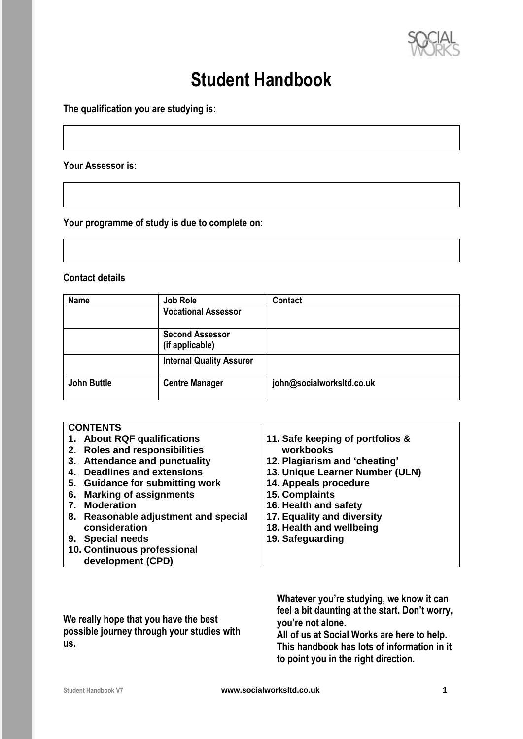

# **Student Handbook**

**The qualification you are studying is:**

**Your Assessor is:**

**Your programme of study is due to complete on:**

# **Contact details**

| <b>Name</b>        | Job Role                                  | Contact                   |  |
|--------------------|-------------------------------------------|---------------------------|--|
|                    | <b>Vocational Assessor</b>                |                           |  |
|                    | <b>Second Assessor</b><br>(if applicable) |                           |  |
|                    | <b>Internal Quality Assurer</b>           |                           |  |
| <b>John Buttle</b> | <b>Centre Manager</b>                     | john@socialworksltd.co.uk |  |

| <b>CONTENTS</b>                       |                                  |
|---------------------------------------|----------------------------------|
| 1. About RQF qualifications           | 11. Safe keeping of portfolios & |
| 2. Roles and responsibilities         | workbooks                        |
| 3. Attendance and punctuality         | 12. Plagiarism and 'cheating'    |
| <b>Deadlines and extensions</b><br>4. | 13. Unique Learner Number (ULN)  |
| 5. Guidance for submitting work       | 14. Appeals procedure            |
| <b>Marking of assignments</b><br>6.   | 15. Complaints                   |
| <b>Moderation</b>                     | 16. Health and safety            |
| 8. Reasonable adjustment and special  | 17. Equality and diversity       |
| consideration                         | 18. Health and wellbeing         |
| 9. Special needs                      | 19. Safeguarding                 |
| 10. Continuous professional           |                                  |
| development (CPD)                     |                                  |

| We really hope that you have the best      | Whatever you're studying, we know it can<br>feel a bit daunting at the start. Don't worry,<br>you're not alone. |  |
|--------------------------------------------|-----------------------------------------------------------------------------------------------------------------|--|
| possible journey through your studies with | All of us at Social Works are here to help.                                                                     |  |
| us.                                        | This handbook has lots of information in it                                                                     |  |
|                                            | to point you in the right direction.                                                                            |  |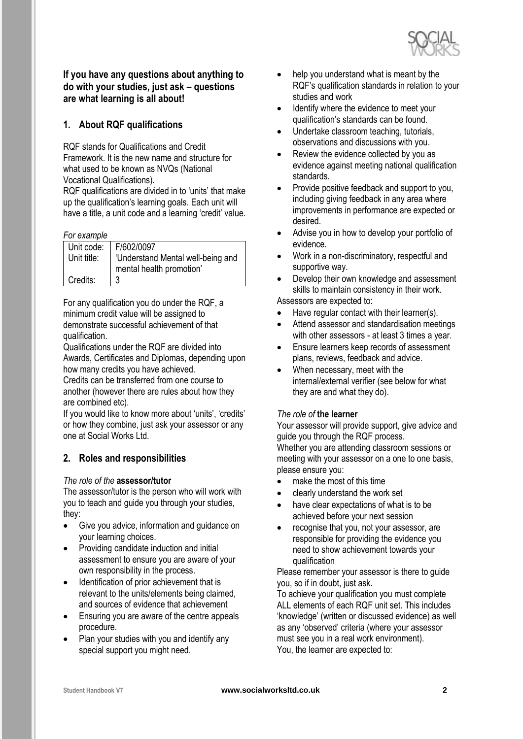

**If you have any questions about anything to do with your studies, just ask – questions are what learning is all about!**

# **1. About RQF qualifications**

RQF stands for Qualifications and Credit Framework. It is the new name and structure for what used to be known as NVQs (National Vocational Qualifications).

RQF qualifications are divided in to 'units' that make up the qualification's learning goals. Each unit will have a title, a unit code and a learning 'credit' value.

#### *For example*

| טועוווטונט וט ו |                                  |
|-----------------|----------------------------------|
|                 | Unit code: F/602/0097            |
| Unit title:     | Understand Mental well-being and |
|                 | mental health promotion'         |
| Credits:        | 3                                |

For any qualification you do under the RQF, a minimum credit value will be assigned to demonstrate successful achievement of that qualification.

Qualifications under the RQF are divided into Awards, Certificates and Diplomas, depending upon how many credits you have achieved.

Credits can be transferred from one course to another (however there are rules about how they are combined etc).

If you would like to know more about 'units', 'credits' or how they combine, just ask your assessor or any one at Social Works Ltd.

# **2. Roles and responsibilities**

#### *The role of the* **assessor/tutor**

The assessor/tutor is the person who will work with you to teach and guide you through your studies, they:

- Give you advice, information and guidance on your learning choices.
- Providing candidate induction and initial assessment to ensure you are aware of your own responsibility in the process.
- Identification of prior achievement that is relevant to the units/elements being claimed, and sources of evidence that achievement
- Ensuring you are aware of the centre appeals procedure.
- Plan your studies with you and identify any special support you might need.
- help you understand what is meant by the RQF's qualification standards in relation to your studies and work
- Identify where the evidence to meet your qualification's standards can be found.
- Undertake classroom teaching, tutorials, observations and discussions with you.
- Review the evidence collected by you as evidence against meeting national qualification standards.
- Provide positive feedback and support to you, including giving feedback in any area where improvements in performance are expected or desired.
- Advise you in how to develop your portfolio of evidence.
- Work in a non-discriminatory, respectful and supportive way.
- Develop their own knowledge and assessment skills to maintain consistency in their work.

Assessors are expected to:

- Have regular contact with their learner(s).
- Attend assessor and standardisation meetings with other assessors - at least 3 times a year.
- Ensure learners keep records of assessment plans, reviews, feedback and advice.
- When necessary, meet with the internal/external verifier (see below for what they are and what they do).

#### *The role of* **the learner**

Your assessor will provide support, give advice and guide you through the RQF process. Whether you are attending classroom sessions or meeting with your assessor on a one to one basis, please ensure you:

- make the most of this time
- clearly understand the work set
- have clear expectations of what is to be achieved before your next session
- recognise that you, not your assessor, are responsible for providing the evidence you need to show achievement towards your qualification

Please remember your assessor is there to guide you, so if in doubt, just ask.

To achieve your qualification you must complete ALL elements of each RQF unit set. This includes 'knowledge' (written or discussed evidence) as well as any 'observed' criteria (where your assessor must see you in a real work environment). You, the learner are expected to: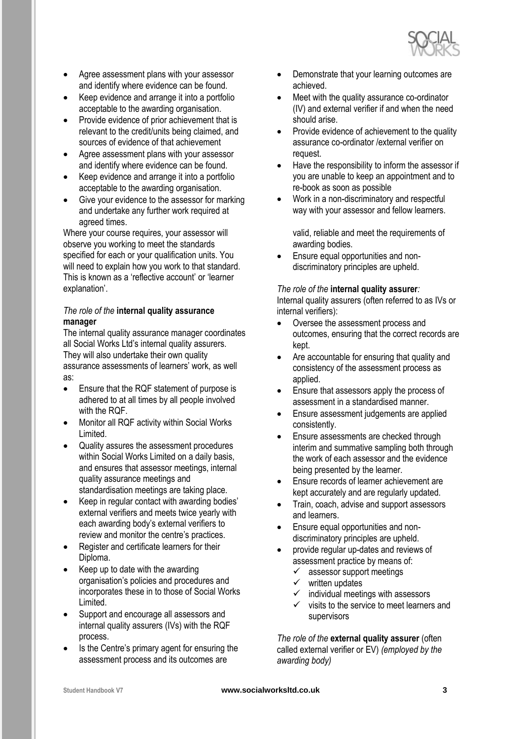

- Agree assessment plans with your assessor and identify where evidence can be found.
- Keep evidence and arrange it into a portfolio acceptable to the awarding organisation.
- Provide evidence of prior achievement that is relevant to the credit/units being claimed, and sources of evidence of that achievement
- Agree assessment plans with your assessor and identify where evidence can be found.
- Keep evidence and arrange it into a portfolio acceptable to the awarding organisation.
- Give your evidence to the assessor for marking and undertake any further work required at agreed times.

Where your course requires, your assessor will observe you working to meet the standards specified for each or your qualification units. You will need to explain how you work to that standard. This is known as a 'reflective account' or 'learner explanation'.

#### *The role of the* **internal quality assurance manager**

The internal quality assurance manager coordinates all Social Works Ltd's internal quality assurers. They will also undertake their own quality assurance assessments of learners' work, as well as:

- Ensure that the RQF statement of purpose is adhered to at all times by all people involved with the RQF.
- Monitor all RQF activity within Social Works Limited.
- Quality assures the assessment procedures within Social Works Limited on a daily basis, and ensures that assessor meetings, internal quality assurance meetings and standardisation meetings are taking place.
- Keep in regular contact with awarding bodies' external verifiers and meets twice yearly with each awarding body's external verifiers to review and monitor the centre's practices.
- Register and certificate learners for their Diploma.
- Keep up to date with the awarding organisation's policies and procedures and incorporates these in to those of Social Works Limited.
- Support and encourage all assessors and internal quality assurers (IVs) with the RQF process.
- Is the Centre's primary agent for ensuring the assessment process and its outcomes are
- Demonstrate that your learning outcomes are achieved.
- Meet with the quality assurance co-ordinator (IV) and external verifier if and when the need should arise.
- Provide evidence of achievement to the quality assurance co-ordinator /external verifier on request.
- Have the responsibility to inform the assessor if you are unable to keep an appointment and to re-book as soon as possible
- Work in a non-discriminatory and respectful way with your assessor and fellow learners.

valid, reliable and meet the requirements of awarding bodies.

• Ensure equal opportunities and nondiscriminatory principles are upheld.

#### *The role of the* **internal quality assurer***:*

Internal quality assurers (often referred to as IVs or internal verifiers):

- Oversee the assessment process and outcomes, ensuring that the correct records are kept.
- Are accountable for ensuring that quality and consistency of the assessment process as applied.
- Ensure that assessors apply the process of assessment in a standardised manner.
- Ensure assessment judgements are applied consistently.
- Ensure assessments are checked through interim and summative sampling both through the work of each assessor and the evidence being presented by the learner.
- Ensure records of learner achievement are kept accurately and are regularly updated.
- Train, coach, advise and support assessors and learners.
- Ensure equal opportunities and nondiscriminatory principles are upheld.
- provide regular up-dates and reviews of assessment practice by means of:
	- $\checkmark$  assessor support meetings
	- ✓ written updates
	- individual meetings with assessors
	- $\checkmark$  visits to the service to meet learners and supervisors

*The role of the* **external quality assurer** (often called external verifier or EV) *(employed by the awarding body)*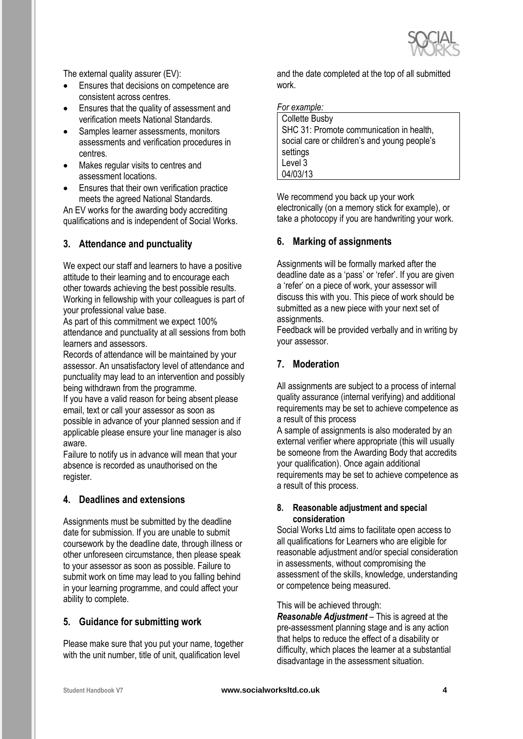

The external quality assurer (EV):

- Ensures that decisions on competence are consistent across centres.
- Ensures that the quality of assessment and verification meets National Standards.
- Samples learner assessments, monitors assessments and verification procedures in centres.
- Makes regular visits to centres and assessment locations.
- Ensures that their own verification practice meets the agreed National Standards.

An EV works for the awarding body accrediting qualifications and is independent of Social Works.

# **3. Attendance and punctuality**

We expect our staff and learners to have a positive attitude to their learning and to encourage each other towards achieving the best possible results. Working in fellowship with your colleagues is part of your professional value base.

As part of this commitment we expect 100% attendance and punctuality at all sessions from both learners and assessors.

Records of attendance will be maintained by your assessor. An unsatisfactory level of attendance and punctuality may lead to an intervention and possibly being withdrawn from the programme.

If you have a valid reason for being absent please email, text or call your assessor as soon as possible in advance of your planned session and if applicable please ensure your line manager is also aware.

Failure to notify us in advance will mean that your absence is recorded as unauthorised on the register.

#### **4. Deadlines and extensions**

Assignments must be submitted by the deadline date for submission. If you are unable to submit coursework by the deadline date, through illness or other unforeseen circumstance, then please speak to your assessor as soon as possible. Failure to submit work on time may lead to you falling behind in your learning programme, and could affect your ability to complete.

#### **5. Guidance for submitting work**

Please make sure that you put your name, together with the unit number, title of unit, qualification level

and the date completed at the top of all submitted work.

*For example:*

| <b>Collette Busby</b>                        |  |
|----------------------------------------------|--|
| SHC 31: Promote communication in health,     |  |
| social care or children's and young people's |  |
| settings                                     |  |
| Level 3                                      |  |
| 04/03/13                                     |  |

We recommend you back up your work electronically (on a memory stick for example), or take a photocopy if you are handwriting your work.

#### **6. Marking of assignments**

Assignments will be formally marked after the deadline date as a 'pass' or 'refer'. If you are given a 'refer' on a piece of work, your assessor will discuss this with you. This piece of work should be submitted as a new piece with your next set of assignments.

Feedback will be provided verbally and in writing by your assessor.

# **7. Moderation**

All assignments are subject to a process of internal quality assurance (internal verifying) and additional requirements may be set to achieve competence as a result of this process

A sample of assignments is also moderated by an external verifier where appropriate (this will usually be someone from the Awarding Body that accredits your qualification). Once again additional requirements may be set to achieve competence as a result of this process.

#### **8. Reasonable adjustment and special consideration**

Social Works Ltd aims to facilitate open access to all qualifications for Learners who are eligible for reasonable adjustment and/or special consideration in assessments, without compromising the assessment of the skills, knowledge, understanding or competence being measured.

This will be achieved through:

*Reasonable Adjustment* – This is agreed at the pre-assessment planning stage and is any action that helps to reduce the effect of a disability or difficulty, which places the learner at a substantial disadvantage in the assessment situation.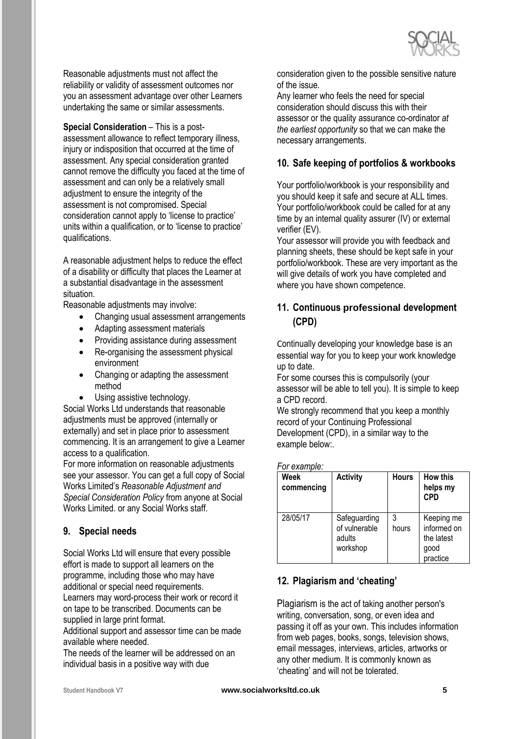

Reasonable adjustments must not affect the reliability or validity of assessment outcomes nor you an assessment advantage over other Learners undertaking the same or similar assessments.

**Special Consideration – This is a post**assessment allowance to reflect temporary illness, injury or indisposition that occurred at the time of assessment. Any special consideration granted cannot remove the difficulty you faced at the time of assessment and can only be a relatively small adjustment to ensure the integrity of the assessment is not compromised. Special consideration cannot apply to 'license to practice' units within a qualification, or to 'license to practice' qualifications.

A reasonable adjustment helps to reduce the effect of a disability or difficulty that places the Learner at a substantial disadvantage in the assessment situation.

Reasonable adjustments may involve:

- Changing usual assessment arrangements
- Adapting assessment materials
- Providing assistance during assessment
- Re-organising the assessment physical environment
- Changing or adapting the assessment method
- Using assistive technology.

Social Works Ltd understands that reasonable adjustments must be approved (internally or externally) and set in place prior to assessment commencing. It is an arrangement to give a Learner access to a qualification.

For more information on reasonable adjustments see your assessor. You can get a full copy of Social Works Limited's *Reasonable Adjustment and Special Consideration Policy* from anyone at Social Works Limited. or any Social Works staff.

# **9. Special needs**

Social Works Ltd will ensure that every possible effort is made to support all learners on the programme, including those who may have additional or special need requirements. Learners may word-process their work or record it on tape to be transcribed. Documents can be

supplied in large print format.

Additional support and assessor time can be made available where needed.

The needs of the learner will be addressed on an individual basis in a positive way with due

consideration given to the possible sensitive nature of the issue.

Any learner who feels the need for special consideration should discuss this with their assessor or the quality assurance co-ordinator *at the earliest opportunity* so that we can make the necessary arrangements.

# **10. Safe keeping of portfolios & workbooks**

Your portfolio/workbook is your responsibility and you should keep it safe and secure at ALL times. Your portfolio/workbook could be called for at any time by an internal quality assurer (IV) or external verifier (EV).

Your assessor will provide you with feedback and planning sheets, these should be kept safe in your portfolio/workbook. These are very important as the will give details of work you have completed and where you have shown competence.

# **11. Continuous professional development (CPD)**

Continually developing your knowledge base is an essential way for you to keep your work knowledge up to date.

For some courses this is compulsorily (your assessor will be able to tell you). It is simple to keep a CPD record.

We strongly recommend that you keep a monthly record of your Continuing Professional Development (CPD), in a similar way to the example below:.

*For example:*

| Week<br>commencing | <b>Activity</b>                                     | <b>Hours</b> | <b>How this</b><br>helps my<br><b>CPD</b>                   |
|--------------------|-----------------------------------------------------|--------------|-------------------------------------------------------------|
| 28/05/17           | Safeguarding<br>of vulnerable<br>adults<br>workshop | 3<br>hours   | Keeping me<br>informed on<br>the latest<br>good<br>practice |

# **12. Plagiarism and 'cheating'**

Plagiarism is the act of taking another person's writing, conversation, song, or even idea and passing it off as your own. This includes information from web pages, books, songs, television shows, email messages, interviews, articles, artworks or any other medium. It is commonly known as 'cheating' and will not be tolerated.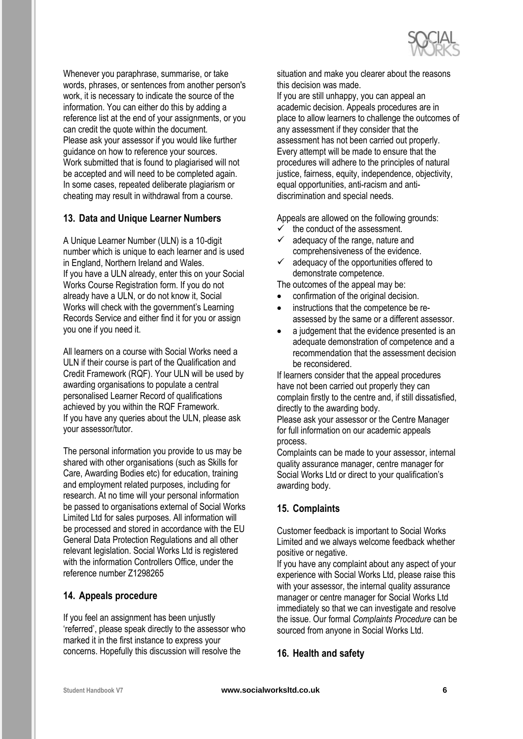

Whenever you paraphrase, summarise, or take words, phrases, or sentences from another person's work, it is necessary to indicate the source of the information. You can either do this by adding a reference list at the end of your assignments, or you can credit the quote within the document. Please ask your assessor if you would like further guidance on how to reference your sources. Work submitted that is found to plagiarised will not be accepted and will need to be completed again. In some cases, repeated deliberate plagiarism or cheating may result in withdrawal from a course.

#### **13. Data and Unique Learner Numbers**

A Unique Learner Number (ULN) is a 10-digit number which is unique to each learner and is used in England, Northern Ireland and Wales. If you have a ULN already, enter this on your Social Works Course Registration form. If you do not already have a ULN, or do not know it, Social Works will check with the government's Learning Records Service and either find it for you or assign you one if you need it.

All learners on a course with Social Works need a ULN if their course is part of the Qualification and Credit Framework (RQF). Your ULN will be used by awarding organisations to populate a central personalised Learner Record of qualifications achieved by you within the RQF Framework. If you have any queries about the ULN, please ask your assessor/tutor.

The personal information you provide to us may be shared with other organisations (such as Skills for Care, Awarding Bodies etc) for education, training and employment related purposes, including for research. At no time will your personal information be passed to organisations external of Social Works Limited Ltd for sales purposes. All information will be processed and stored in accordance with the EU General Data Protection Regulations and all other relevant legislation. Social Works Ltd is registered with the information Controllers Office, under the reference number Z1298265

#### **14. Appeals procedure**

If you feel an assignment has been unjustly 'referred', please speak directly to the assessor who marked it in the first instance to express your concerns. Hopefully this discussion will resolve the

situation and make you clearer about the reasons this decision was made.

If you are still unhappy, you can appeal an academic decision. Appeals procedures are in place to allow learners to challenge the outcomes of any assessment if they consider that the assessment has not been carried out properly. Every attempt will be made to ensure that the procedures will adhere to the principles of natural justice, fairness, equity, independence, objectivity, equal opportunities, anti-racism and antidiscrimination and special needs.

Appeals are allowed on the following grounds:

- the conduct of the assessment.
- adequacy of the range, nature and comprehensiveness of the evidence.
- adequacy of the opportunities offered to demonstrate competence.

The outcomes of the appeal may be:

- confirmation of the original decision.
- instructions that the competence be reassessed by the same or a different assessor.
- a judgement that the evidence presented is an adequate demonstration of competence and a recommendation that the assessment decision be reconsidered.

If learners consider that the appeal procedures have not been carried out properly they can complain firstly to the centre and, if still dissatisfied, directly to the awarding body.

Please ask your assessor or the Centre Manager for full information on our academic appeals process.

Complaints can be made to your assessor, internal quality assurance manager, centre manager for Social Works Ltd or direct to your qualification's awarding body.

#### **15. Complaints**

Customer feedback is important to Social Works Limited and we always welcome feedback whether positive or negative.

If you have any complaint about any aspect of your experience with Social Works Ltd, please raise this with your assessor, the internal quality assurance manager or centre manager for Social Works Ltd immediately so that we can investigate and resolve the issue. Our formal *Complaints Procedure* can be sourced from anyone in Social Works Ltd.

#### **16. Health and safety**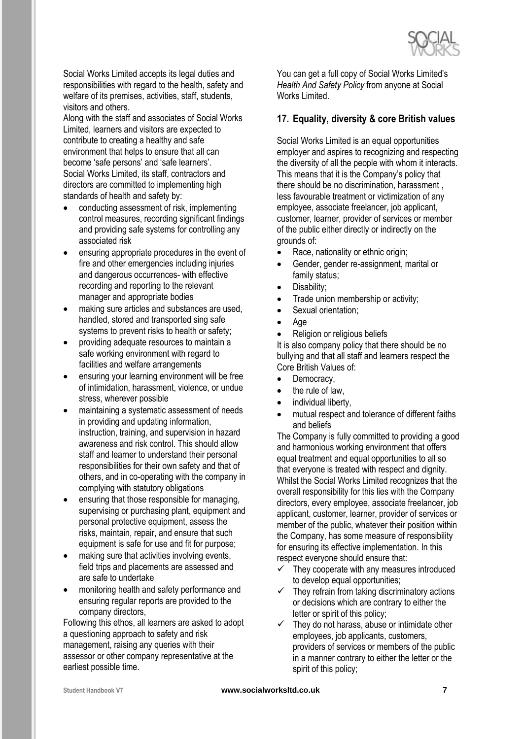

Social Works Limited accepts its legal duties and responsibilities with regard to the health, safety and welfare of its premises, activities, staff, students, visitors and others.

Along with the staff and associates of Social Works Limited, learners and visitors are expected to contribute to creating a healthy and safe environment that helps to ensure that all can become 'safe persons' and 'safe learners'. Social Works Limited, its staff, contractors and directors are committed to implementing high standards of health and safety by:

- conducting assessment of risk, implementing control measures, recording significant findings and providing safe systems for controlling any associated risk
- ensuring appropriate procedures in the event of fire and other emergencies including injuries and dangerous occurrences- with effective recording and reporting to the relevant manager and appropriate bodies
- making sure articles and substances are used, handled, stored and transported sing safe systems to prevent risks to health or safety;
- providing adequate resources to maintain a safe working environment with regard to facilities and welfare arrangements
- ensuring your learning environment will be free of intimidation, harassment, violence, or undue stress, wherever possible
- maintaining a systematic assessment of needs in providing and updating information, instruction, training, and supervision in hazard awareness and risk control. This should allow staff and learner to understand their personal responsibilities for their own safety and that of others, and in co-operating with the company in complying with statutory obligations
- ensuring that those responsible for managing, supervising or purchasing plant, equipment and personal protective equipment, assess the risks, maintain, repair, and ensure that such equipment is safe for use and fit for purpose;
- making sure that activities involving events, field trips and placements are assessed and are safe to undertake
- monitoring health and safety performance and ensuring regular reports are provided to the company directors,

Following this ethos, all learners are asked to adopt a questioning approach to safety and risk management, raising any queries with their assessor or other company representative at the earliest possible time.

You can get a full copy of Social Works Limited's *Health And Safety Policy* from anyone at Social Works Limited

### **17. Equality, diversity & core British values**

Social Works Limited is an equal opportunities employer and aspires to recognizing and respecting the diversity of all the people with whom it interacts. This means that it is the Company's policy that there should be no discrimination, harassment , less favourable treatment or victimization of any employee, associate freelancer, job applicant, customer, learner, provider of services or member of the public either directly or indirectly on the grounds of:

- Race, nationality or ethnic origin;
- Gender, gender re-assignment, marital or family status;
- Disability;
- Trade union membership or activity;
- Sexual orientation:
- Age
- Religion or religious beliefs

It is also company policy that there should be no bullying and that all staff and learners respect the Core British Values of:

- Democracy,
- the rule of law,
- individual liberty.
- mutual respect and tolerance of different faiths and beliefs

The Company is fully committed to providing a good and harmonious working environment that offers equal treatment and equal opportunities to all so that everyone is treated with respect and dignity. Whilst the Social Works Limited recognizes that the overall responsibility for this lies with the Company directors, every employee, associate freelancer, job applicant, customer, learner, provider of services or member of the public, whatever their position within the Company, has some measure of responsibility for ensuring its effective implementation. In this respect everyone should ensure that:

- $\checkmark$  They cooperate with any measures introduced to develop equal opportunities;
- $\checkmark$  They refrain from taking discriminatory actions or decisions which are contrary to either the letter or spirit of this policy;
- $\checkmark$  They do not harass, abuse or intimidate other employees, job applicants, customers, providers of services or members of the public in a manner contrary to either the letter or the spirit of this policy;